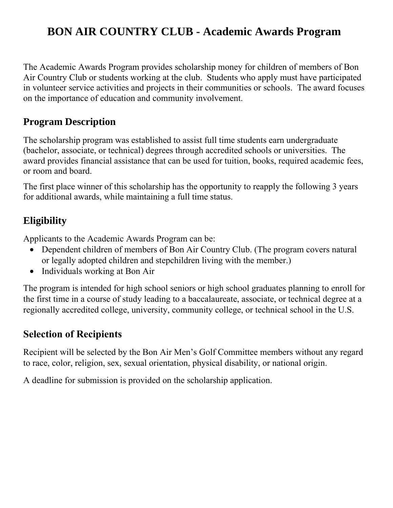The Academic Awards Program provides scholarship money for children of members of Bon Air Country Club or students working at the club. Students who apply must have participated in volunteer service activities and projects in their communities or schools. The award focuses on the importance of education and community involvement.

## **Program Description**

The scholarship program was established to assist full time students earn undergraduate (bachelor, associate, or technical) degrees through accredited schools or universities. The award provides financial assistance that can be used for tuition, books, required academic fees, or room and board.

The first place winner of this scholarship has the opportunity to reapply the following 3 years for additional awards, while maintaining a full time status.

## **Eligibility**

Applicants to the Academic Awards Program can be:

- Dependent children of members of Bon Air Country Club. (The program covers natural or legally adopted children and stepchildren living with the member.)
- Individuals working at Bon Air

The program is intended for high school seniors or high school graduates planning to enroll for the first time in a course of study leading to a baccalaureate, associate, or technical degree at a regionally accredited college, university, community college, or technical school in the U.S.

## **Selection of Recipients**

Recipient will be selected by the Bon Air Men's Golf Committee members without any regard to race, color, religion, sex, sexual orientation, physical disability, or national origin.

A deadline for submission is provided on the scholarship application.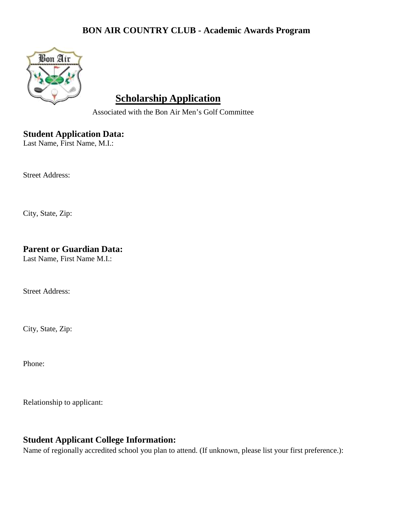

## **Scholarship Application**

Associated with the Bon Air Men's Golf Committee

## **Student Application Data:**

Last Name, First Name, M.I.:

Street Address:

City, State, Zip:

## **Parent or Guardian Data:**

Last Name, First Name M.I.:

Street Address:

City, State, Zip:

Phone:

Relationship to applicant:

## **Student Applicant College Information:**

Name of regionally accredited school you plan to attend. (If unknown, please list your first preference.):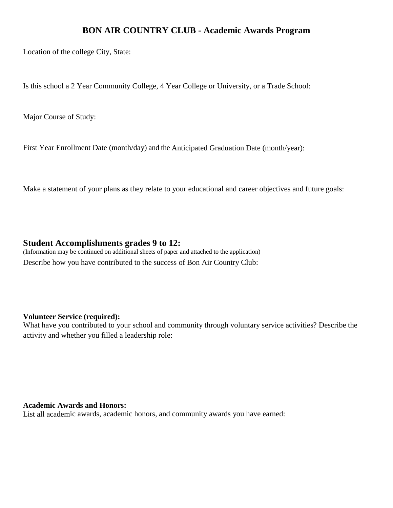Location of the college City, State:

Is this school a 2 Year Community College, 4 Year College or University, or a Trade School:

Major Course of Study:

First Year Enrollment Date (month/day) and the Anticipated Graduation Date (month/year):

Make a statement of your plans as they relate to your educational and career objectives and future goals:

#### **Student Accomplishments grades 9 to 12:**

(Information may be continued on additional sheets of paper and attached to the application) Describe how you have contributed to the success of Bon Air Country Club:

#### **Volunteer Service (required):**

What have you contributed to your school and community through voluntary service activities? Describe the activity and whether you filled a leadership role:

#### **Academic Awards and Honors:**

List all academic awards, academic honors, and community awards you have earned: